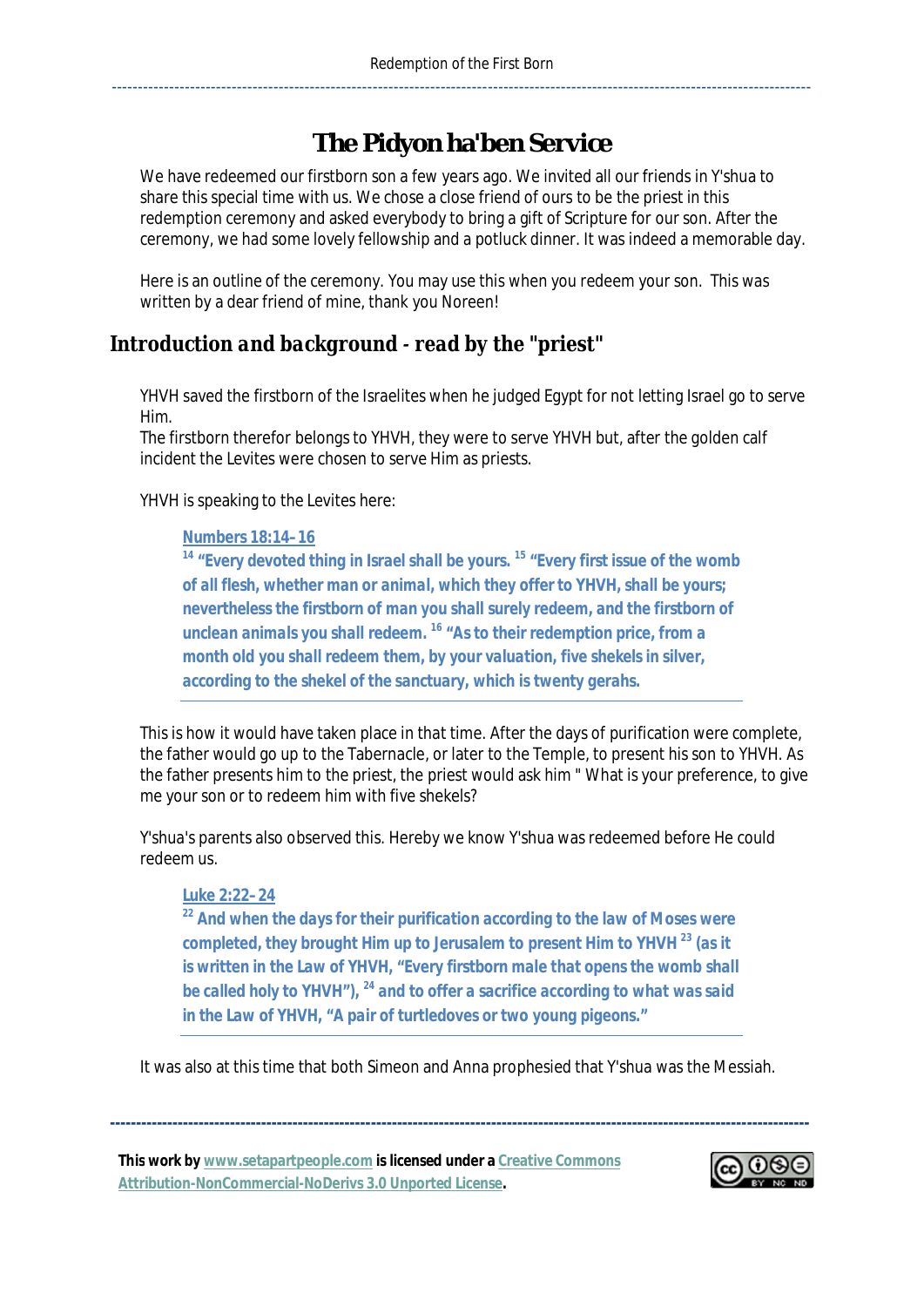# **The Pidyon ha'ben Service**

We have redeemed our firstborn son a few years ago. We invited all our friends in Y'shua to share this special time with us. We chose a close friend of ours to be the priest in this redemption ceremony and asked everybody to bring a gift of Scripture for our son. After the ceremony, we had some lovely fellowship and a potluck dinner. It was indeed a memorable day.

Here is an outline of the ceremony. You may use this when you redeem your son. This was written by a dear friend of mine, thank you Noreen!

## *Introduction and backgroundǦread by the "priest"*

YHVH saved the firstborn of the Israelites when he judged Egypt for not letting Israel go to serve Him.

The firstborn therefor belongs to YHVH, they were to serve YHVH but, after the golden calf incident the Levites were chosen to serve Him as priests.

#### YHVH is speaking to the Levites here:

#### *Numbers 18:14–16*

*<sup>14</sup> "Every devoted thing in Israel shall be yours. <sup>15</sup> "Every first issue of the womb of all flesh, whether man or animal, which they offer to YHVH, shall be yours; nevertheless the firstborn of man you shall surely redeem, and the firstborn of unclean animals you shall redeem. <sup>16</sup> "As to their redemption price, from a month old you shall redeem them, by your valuation, five shekels in silver, according to the shekel of the sanctuary, which is twenty gerahs.* 

This is how it would have taken place in that time. After the days of purification were complete, the father would go up to the Tabernacle, or later to the Temple, to present his son to YHVH. As the father presents him to the priest, the priest would ask him " What is your preference, to give me your son or to redeem him with five shekels?

Y'shua's parents also observed this. Hereby we know Y'shua was redeemed before He could redeem us.

#### *Luke 2:22–24*

*<sup>22</sup> And when the days for their purification according to the law of Moses were completed, they brought Him up to Jerusalem to present Him to YHVH <sup>23</sup> (as it is written in the Law of YHVH, "Every firstborn male that opens the womb shall be called holy to YHVH"), <sup>24</sup> and to offer a sacrifice according to what was said in the Law of YHVH, "A pair of turtledoves or two young pigeons."* 

It was also at this time that both Simeon and Anna prophesied that Y'shua was the Messiah.

**--------------------------------------------------------------------------------------------------------------------------------------** 

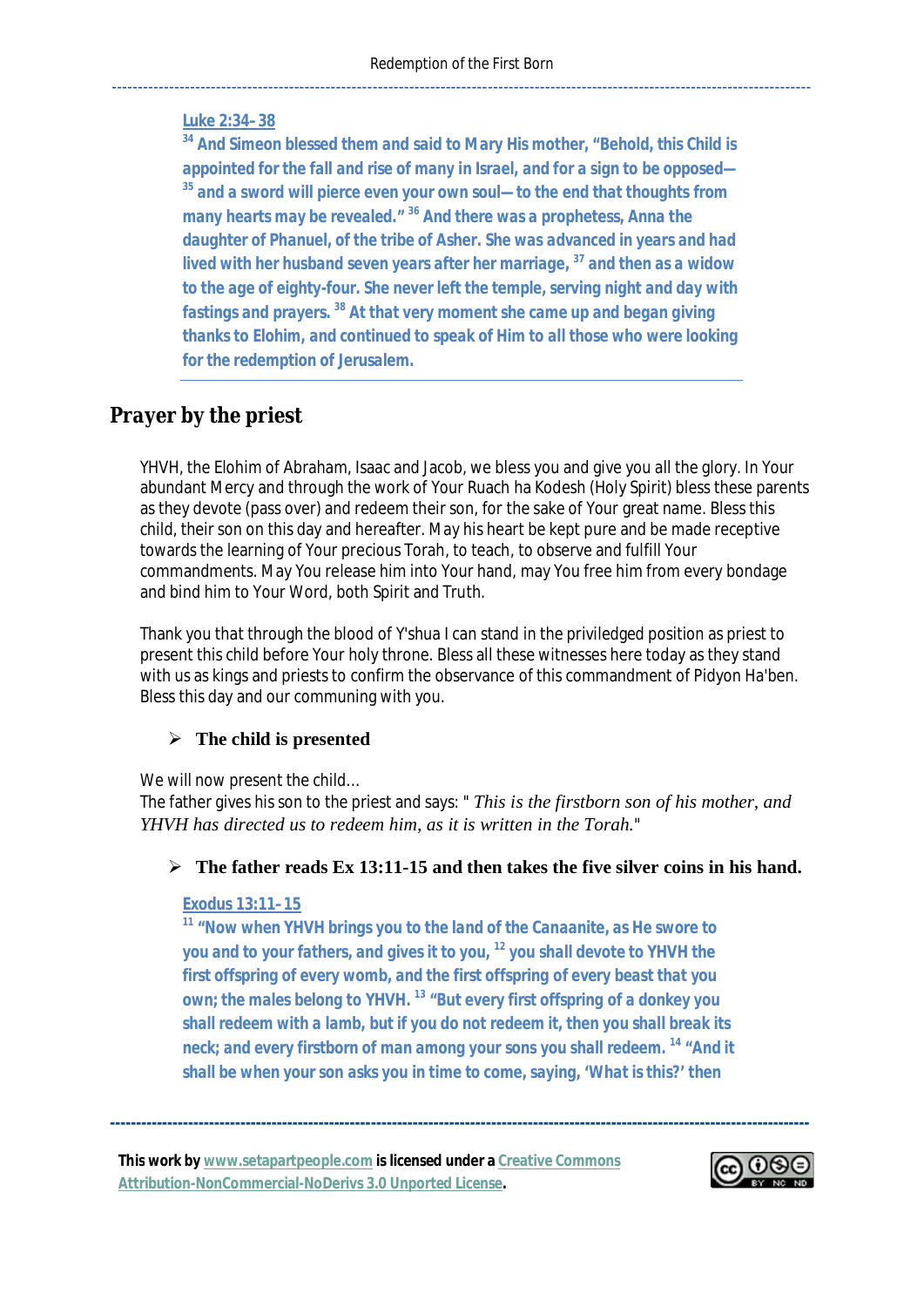#### *Luke 2:34–38*

*<sup>34</sup> And Simeon blessed them and said to Mary His mother, "Behold, this Child is appointed for the fall and rise of many in Israel, and for a sign to be opposed— <sup>35</sup> and a sword will pierce even your own soul—to the end that thoughts from many hearts may be revealed." <sup>36</sup> And there was a prophetess, Anna the daughter of Phanuel, of the tribe of Asher. She was advanced in years and had lived with her husband seven years after her marriage, <sup>37</sup> and then as a widow to the age of eighty-four. She never left the temple, serving night and day with fastings and prayers. <sup>38</sup> At that very moment she came up and began giving thanks to Elohim, and continued to speak of Him to all those who were looking for the redemption of Jerusalem.* 

## *Prayer by the priest*

YHVH, the Elohim of Abraham, Isaac and Jacob, we bless you and give you all the glory. In Your abundant Mercy and through the work of Your Ruach ha Kodesh (Holy Spirit) bless these parents as they devote (pass over) and redeem their son, for the sake of Your great name. Bless this child, their son on this day and hereafter. May his heart be kept pure and be made receptive towards the learning of Your precious Torah, to teach, to observe and fulfill Your commandments. May You release him into Your hand, may You free him from every bondage and bind him to Your Word, both Spirit and Truth.

Thank you that through the blood of Y'shua I can stand in the priviledged position as priest to present this child before Your holy throne. Bless all these witnesses here today as they stand with us as kings and priests to confirm the observance of this commandment of Pidyon Ha'ben. Bless this day and our communing with you.

### ¾ **The child is presented**

We will now present the child...

The father gives his son to the priest and says: " *This is the firstborn son of his mother, and YHVH has directed us to redeem him, as it is written in the Torah.*"

#### ¾ **The father reads Ex 13:11-15 and then takes the five silver coins in his hand.**

#### *Exodus 13:11–15*

*<sup>11</sup> "Now when YHVH brings you to the land of the Canaanite, as He swore to you and to your fathers, and gives it to you, <sup>12</sup> you shall devote to YHVH the first offspring of every womb, and the first offspring of every beast that you own; the males belong to YHVH. <sup>13</sup> "But every first offspring of a donkey you shall redeem with a lamb, but if you do not redeem it, then you shall break its neck; and every firstborn of man among your sons you shall redeem. <sup>14</sup> "And it shall be when your son asks you in time to come, saying, 'What is this?' then* 

**--------------------------------------------------------------------------------------------------------------------------------------** 

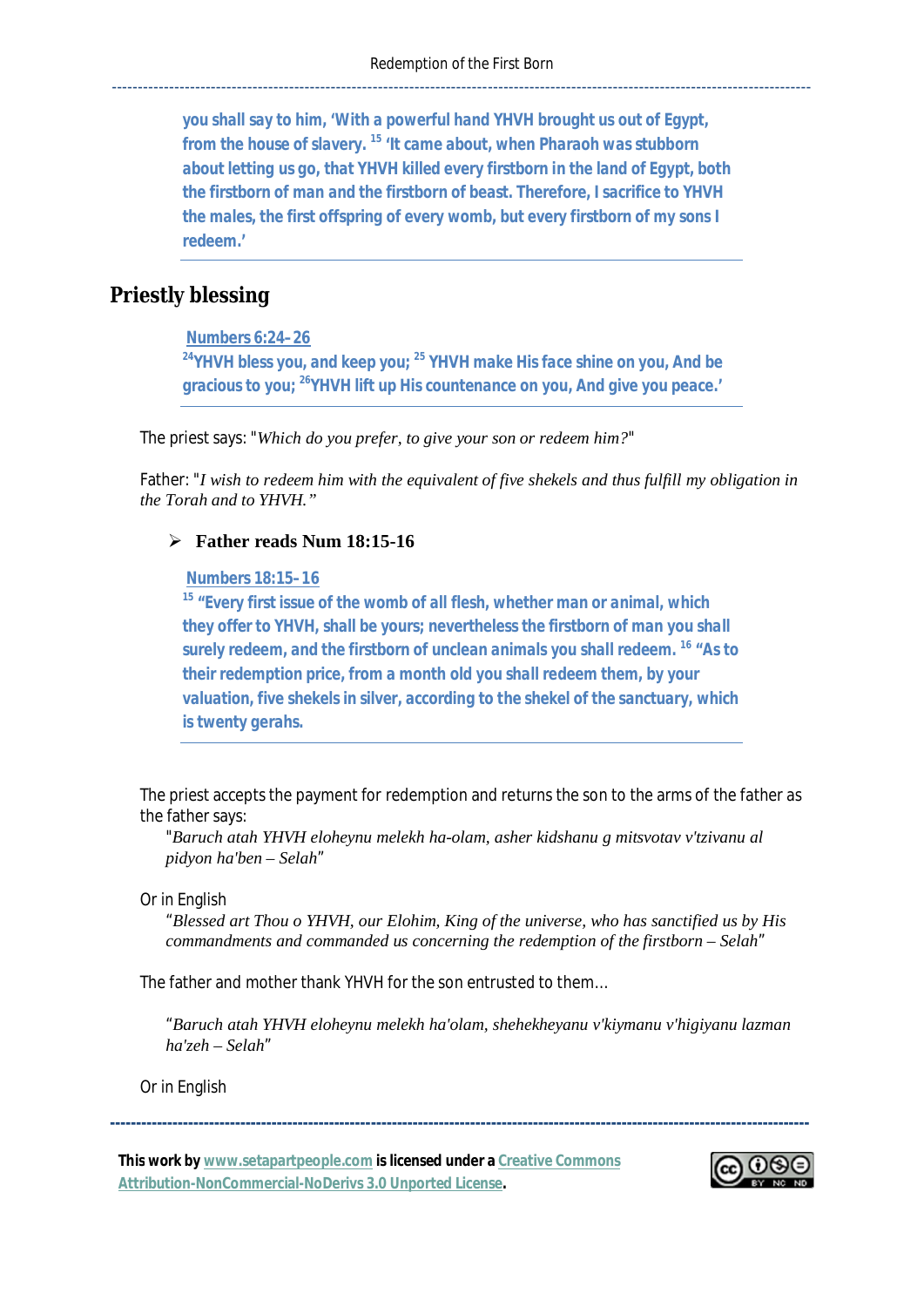*you shall say to him, 'With a powerful hand YHVH brought us out of Egypt, from the house of slavery. <sup>15</sup> 'It came about, when Pharaoh was stubborn about letting us go, that YHVH killed every firstborn in the land of Egypt, both the firstborn of man and the firstborn of beast. Therefore, I sacrifice to YHVH the males, the first offspring of every womb, but every firstborn of my sons I redeem.'* 

# *Priestly blessing*

 *Numbers 6:24–26* 

*<sup>24</sup>YHVH bless you, and keep you; <sup>25</sup> YHVH make His face shine on you, And be gracious to you; <sup>26</sup>YHVH lift up His countenance on you, And give you peace.'* 

The priest says: "*Which do you prefer, to give your son or redeem him?*"

Father: "*I wish to redeem him with the equivalent of five shekels and thus fulfill my obligation in the Torah and to YHVH."*

#### ¾ **Father reads Num 18:15-16**

 *Numbers 18:15–16* 

*<sup>15</sup> "Every first issue of the womb of all flesh, whether man or animal, which they offer to YHVH, shall be yours; nevertheless the firstborn of man you shall surely redeem, and the firstborn of unclean animals you shall redeem. <sup>16</sup> "As to their redemption price, from a month old you shall redeem them, by your valuation, five shekels in silver, according to the shekel of the sanctuary, which is twenty gerahs.* 

The priest accepts the payment for redemption and returns the son to the arms of the father as the father says:

"*Baruch atah YHVH eloheynu melekh ha-olam, asher kidshanu g mitsvotav v'tzivanu al pidyon ha'ben – Selah*"

Or in English

"*Blessed art Thou o YHVH, our Elohim, King of the universe, who has sanctified us by His commandments and commanded us concerning the redemption of the firstborn – Selah*"

The father and mother thank YHVH for the son entrusted to them…

"*Baruch atah YHVH eloheynu melekh ha'olam, shehekheyanu v'kiymanu v'higiyanu lazman ha'zeh – Selah*"

**--------------------------------------------------------------------------------------------------------------------------------------** 

Or in English

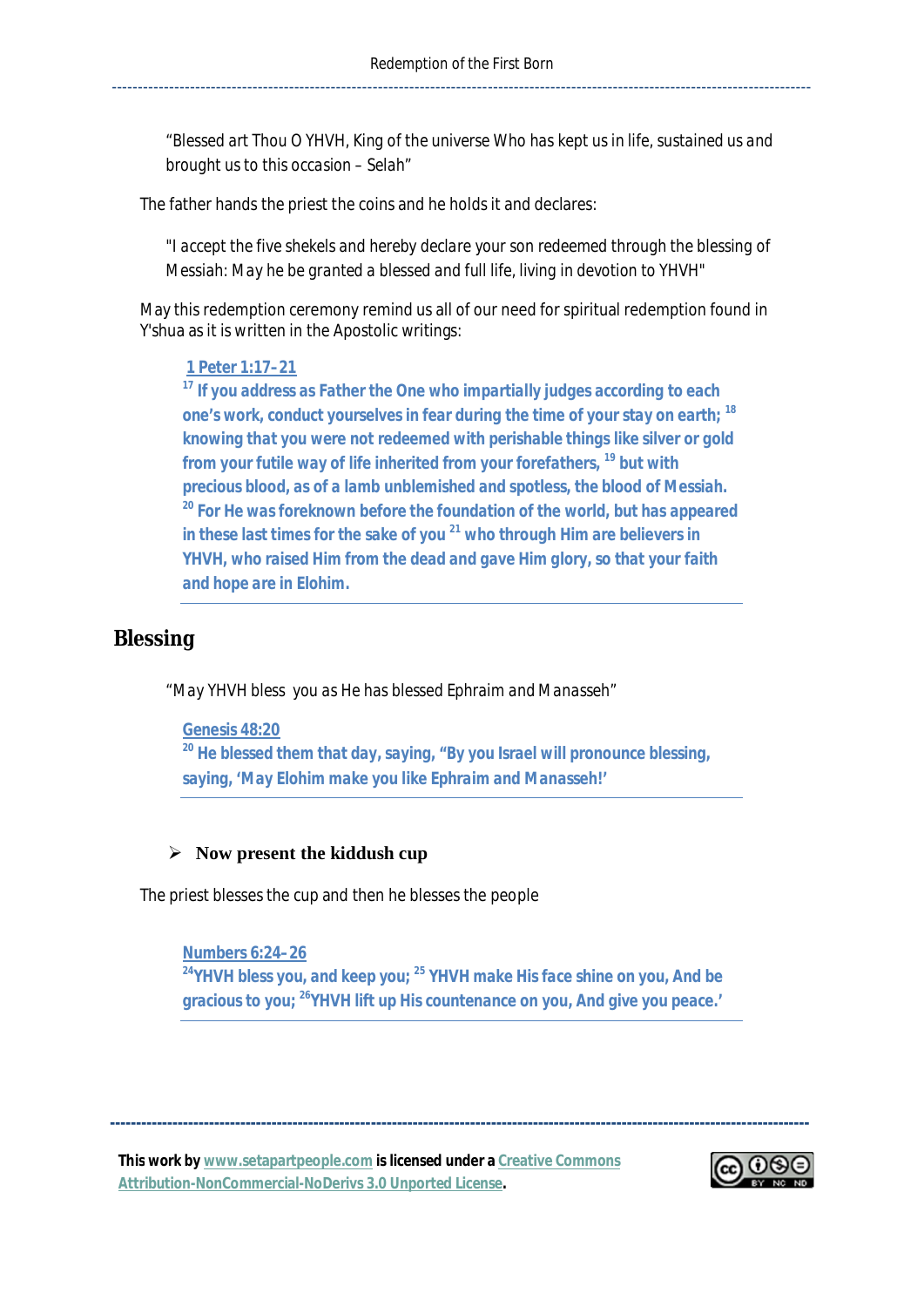*"Blessed art Thou O YHVH, King of the universe Who has kept us in life, sustained us and brought us to this occasion – Selah"* 

The father hands the priest the coins and he holds it and declares:

*"I accept the five shekels and hereby declare your son redeemed through the blessing of Messiah: May he be granted a blessed and full life, living in devotion to YHVH"* 

May this redemption ceremony remind us all of our need for spiritual redemption found in Y'shua as it is written in the Apostolic writings:

#### *1 Peter 1:17–21*

*<sup>17</sup> If you address as Father the One who impartially judges according to each one's work, conduct yourselves in fear during the time of your stay on earth; <sup>18</sup> knowing that you were not redeemed with perishable things like silver or gold from your futile way of life inherited from your forefathers, <sup>19</sup> but with precious blood, as of a lamb unblemished and spotless, the blood of Messiah. <sup>20</sup> For He was foreknown before the foundation of the world, but has appeared in these last times for the sake of you <sup>21</sup> who through Him are believers in YHVH, who raised Him from the dead and gave Him glory, so that your faith and hope are in Elohim.* 

## *Blessing*

*"May YHVH bless you as He has blessed Ephraim and Manasseh"* 

*Genesis 48:20* 

*<sup>20</sup> He blessed them that day, saying, "By you Israel will pronounce blessing, saying, 'May Elohim make you like Ephraim and Manasseh!'* 

### ¾ **Now present the kiddush cup**

The priest blesses the cup and then he blesses the people

*Numbers 6:24–26* 

*<sup>24</sup>YHVH bless you, and keep you; <sup>25</sup> YHVH make His face shine on you, And be gracious to you; <sup>26</sup>YHVH lift up His countenance on you, And give you peace.'* 

**--------------------------------------------------------------------------------------------------------------------------------------**